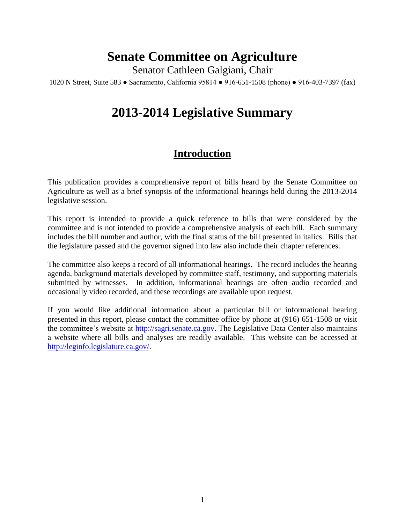## **Senate Committee on Agriculture**

Senator Cathleen Galgiani, Chair

1020 N Street, Suite 583 ● Sacramento, California 95814 ● 916-651-1508 (phone) ● 916-403-7397 (fax)

## **2013-2014 Legislative Summary**

## **Introduction**

This publication provides a comprehensive report of bills heard by the Senate Committee on Agriculture as well as a brief synopsis of the informational hearings held during the 2013-2014 legislative session.

This report is intended to provide a quick reference to bills that were considered by the committee and is not intended to provide a comprehensive analysis of each bill. Each summary includes the bill number and author, with the final status of the bill presented in italics. Bills that the legislature passed and the governor signed into law also include their chapter references.

The committee also keeps a record of all informational hearings. The record includes the hearing agenda, background materials developed by committee staff, testimony, and supporting materials submitted by witnesses. In addition, informational hearings are often audio recorded and occasionally video recorded, and these recordings are available upon request.

If you would like additional information about a particular bill or informational hearing presented in this report, please contact the committee office by phone at (916) 651-1508 or visit the committee's website at [http://sagri.senate.ca.gov.](http://sagri.senate.ca.gov/) The Legislative Data Center also maintains a website where all bills and analyses are readily available. This website can be accessed at [http://leginfo.legislature.ca.gov/.](http://leginfo.legislature.ca.gov/)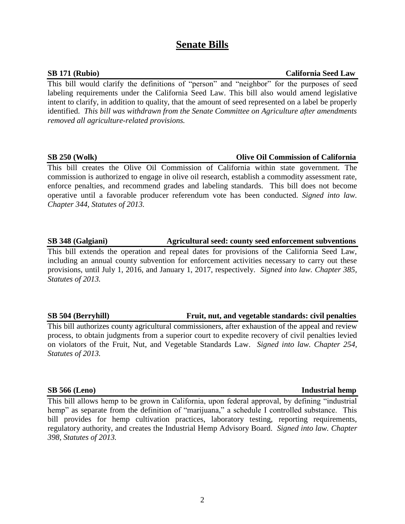## **Senate Bills**

This bill would clarify the definitions of "person" and "neighbor" for the purposes of seed labeling requirements under the California Seed Law. This bill also would amend legislative intent to clarify, in addition to quality, that the amount of seed represented on a label be properly identified. *This bill was withdrawn from the Senate Committee on Agriculture after amendments removed all agriculture-related provisions.*

### **SB 250 (Wolk) Olive Oil Commission of California**

This bill creates the Olive Oil Commission of California within state government. The commission is authorized to engage in olive oil research, establish a commodity assessment rate, enforce penalties, and recommend grades and labeling standards. This bill does not become operative until a favorable producer referendum vote has been conducted. *Signed into law. Chapter 344, Statutes of 2013.*

### **SB 348 (Galgiani) Agricultural seed: county seed enforcement subventions**

This bill extends the operation and repeal dates for provisions of the California Seed Law, including an annual county subvention for enforcement activities necessary to carry out these provisions, until July 1, 2016, and January 1, 2017, respectively. *Signed into law. Chapter 385, Statutes of 2013.*

### **SB 504 (Berryhill) Fruit, nut, and vegetable standards: civil penalties**

This bill authorizes county agricultural commissioners, after exhaustion of the appeal and review process, to obtain judgments from a superior court to expedite recovery of civil penalties levied on violators of the Fruit, Nut, and Vegetable Standards Law. *Signed into law. Chapter 254, Statutes of 2013.*

This bill allows hemp to be grown in California, upon federal approval, by defining "industrial hemp" as separate from the definition of "marijuana," a schedule I controlled substance. This bill provides for hemp cultivation practices, laboratory testing, reporting requirements, regulatory authority, and creates the Industrial Hemp Advisory Board. *Signed into law. Chapter 398, Statutes of 2013.*

### **SB 171 (Rubio) California Seed Law**

### **SB 566 (Leno)** Industrial hemp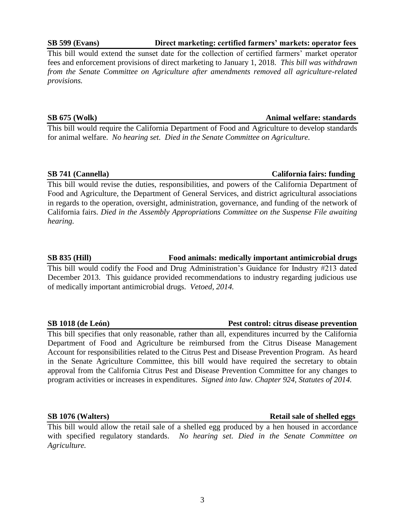3

**SB 1076 (Walters) Retail sale of shelled eggs** This bill would allow the retail sale of a shelled egg produced by a hen housed in accordance with specified regulatory standards. *No hearing set. Died in the Senate Committee on Agriculture.*

Department of Food and Agriculture be reimbursed from the Citrus Disease Management Account for responsibilities related to the Citrus Pest and Disease Prevention Program. As heard in the Senate Agriculture Committee, this bill would have required the secretary to obtain approval from the California Citrus Pest and Disease Prevention Committee for any changes to program activities or increases in expenditures. *Signed into law. Chapter 924, Statutes of 2014.*

of medically important antimicrobial drugs. *Vetoed, 2014.*

**SB 741 (Cannella) California fairs: funding** This bill would revise the duties, responsibilities, and powers of the California Department of Food and Agriculture, the Department of General Services, and district agricultural associations in regards to the operation, oversight, administration, governance, and funding of the network of California fairs. *Died in the Assembly Appropriations Committee on the Suspense File awaiting hearing.*

*from the Senate Committee on Agriculture after amendments removed all agriculture-related provisions.*

**SB 675 (Wolk) Animal welfare: standards** This bill would require the California Department of Food and Agriculture to develop standards

for animal welfare. *No hearing set. Died in the Senate Committee on Agriculture.*

This bill would extend the sunset date for the collection of certified farmers' market operator fees and enforcement provisions of direct marketing to January 1, 2018. *This bill was withdrawn* 

### **SB 599 (Evans) Direct marketing: certified farmers' markets: operator fees**

# This bill specifies that only reasonable, rather than all, expenditures incurred by the California

**SB 1018 (de León) Pest control: citrus disease prevention**

**SB 835 (Hill) Food animals: medically important antimicrobial drugs** This bill would codify the Food and Drug Administration's Guidance for Industry #213 dated December 2013. This guidance provided recommendations to industry regarding judicious use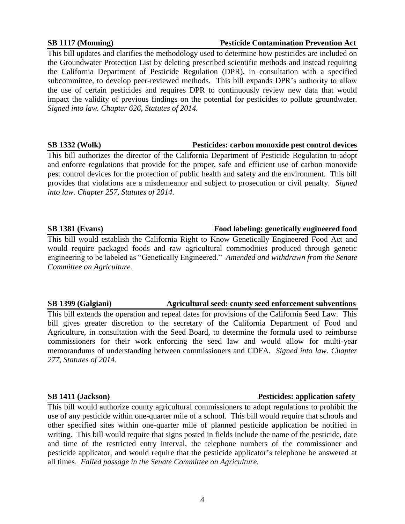### **SB 1117 (Monning) Pesticide Contamination Prevention Act**

This bill updates and clarifies the methodology used to determine how pesticides are included on the Groundwater Protection List by deleting prescribed scientific methods and instead requiring the California Department of Pesticide Regulation (DPR), in consultation with a specified subcommittee, to develop peer-reviewed methods. This bill expands DPR's authority to allow the use of certain pesticides and requires DPR to continuously review new data that would impact the validity of previous findings on the potential for pesticides to pollute groundwater. *Signed into law. Chapter 626, Statutes of 2014.*

### **SB 1332 (Wolk) Pesticides: carbon monoxide pest control devices**

This bill authorizes the director of the California Department of Pesticide Regulation to adopt and enforce regulations that provide for the proper, safe and efficient use of carbon monoxide pest control devices for the protection of public health and safety and the environment. This bill provides that violations are a misdemeanor and subject to prosecution or civil penalty. *Signed into law. Chapter 257, Statutes of 2014.*

### **SB 1381 (Evans) Food labeling: genetically engineered food**

This bill would establish the California Right to Know Genetically Engineered Food Act and would require packaged foods and raw agricultural commodities produced through genetic engineering to be labeled as "Genetically Engineered." *Amended and withdrawn from the Senate Committee on Agriculture.*

### **SB 1399 (Galgiani) Agricultural seed: county seed enforcement subventions**

This bill extends the operation and repeal dates for provisions of the California Seed Law. This bill gives greater discretion to the secretary of the California Department of Food and Agriculture, in consultation with the Seed Board, to determine the formula used to reimburse commissioners for their work enforcing the seed law and would allow for multi-year memorandums of understanding between commissioners and CDFA. *Signed into law. Chapter 277, Statutes of 2014.*

### **SB 1411 (Jackson) Pesticides: application safety**

This bill would authorize county agricultural commissioners to adopt regulations to prohibit the use of any pesticide within one-quarter mile of a school. This bill would require that schools and other specified sites within one-quarter mile of planned pesticide application be notified in writing. This bill would require that signs posted in fields include the name of the pesticide, date and time of the restricted entry interval, the telephone numbers of the commissioner and pesticide applicator, and would require that the pesticide applicator's telephone be answered at all times. *Failed passage in the Senate Committee on Agriculture.*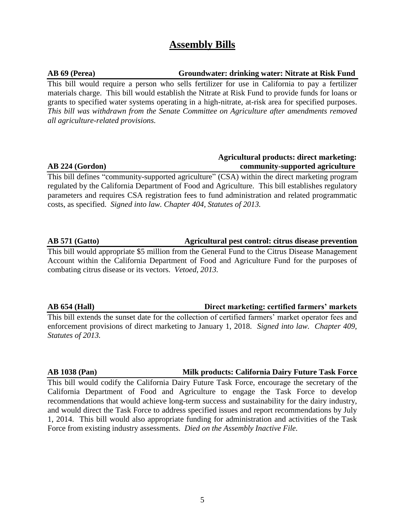## **Assembly Bills**

### **AB 69 (Perea) Groundwater: drinking water: Nitrate at Risk Fund**

This bill would require a person who sells fertilizer for use in California to pay a fertilizer materials charge. This bill would establish the Nitrate at Risk Fund to provide funds for loans or grants to specified water systems operating in a high-nitrate, at-risk area for specified purposes. *This bill was withdrawn from the Senate Committee on Agriculture after amendments removed all agriculture-related provisions.*

### **Agricultural products: direct marketing: AB 224 (Gordon) community-supported agriculture**

This bill defines "community-supported agriculture" (CSA) within the direct marketing program regulated by the California Department of Food and Agriculture. This bill establishes regulatory parameters and requires CSA registration fees to fund administration and related programmatic costs, as specified. *Signed into law. Chapter 404, Statutes of 2013.* 

### **AB 571 (Gatto) Agricultural pest control: citrus disease prevention**

This bill would appropriate \$5 million from the General Fund to the Citrus Disease Management Account within the California Department of Food and Agriculture Fund for the purposes of combating citrus disease or its vectors. *Vetoed, 2013.*

### **AB 654 (Hall) Direct marketing: certified farmers' markets**

This bill extends the sunset date for the collection of certified farmers' market operator fees and enforcement provisions of direct marketing to January 1, 2018. *Signed into law. Chapter 409, Statutes of 2013.* 

### **AB 1038 (Pan) Milk products: California Dairy Future Task Force**

This bill would codify the California Dairy Future Task Force, encourage the secretary of the California Department of Food and Agriculture to engage the Task Force to develop recommendations that would achieve long-term success and sustainability for the dairy industry, and would direct the Task Force to address specified issues and report recommendations by July 1, 2014. This bill would also appropriate funding for administration and activities of the Task Force from existing industry assessments. *Died on the Assembly Inactive File.*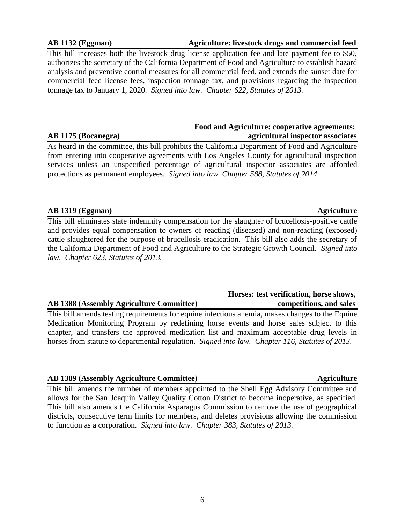## AB 1389 (Assembly Agriculture Committee) **Agriculture** Agriculture

This bill amends the number of members appointed to the Shell Egg Advisory Committee and allows for the San Joaquin Valley Quality Cotton District to become inoperative, as specified. This bill also amends the California Asparagus Commission to remove the use of geographical districts, consecutive term limits for members, and deletes provisions allowing the commission to function as a corporation. *Signed into law. Chapter 383, Statutes of 2013.*

Medication Monitoring Program by redefining horse events and horse sales subject to this chapter, and transfers the approved medication list and maximum acceptable drug levels in horses from statute to departmental regulation. *Signed into law. Chapter 116, Statutes of 2013.* 

## **AB 1319 (Eggman)** Agriculture

This bill eliminates state indemnity compensation for the slaughter of brucellosis-positive cattle and provides equal compensation to owners of reacting (diseased) and non-reacting (exposed) cattle slaughtered for the purpose of brucellosis eradication. This bill also adds the secretary of the California Department of Food and Agriculture to the Strategic Growth Council. *Signed into law. Chapter 623, Statutes of 2013.* 

from entering into cooperative agreements with Los Angeles County for agricultural inspection services unless an unspecified percentage of agricultural inspector associates are afforded protections as permanent employees. *Signed into law. Chapter 588, Statutes of 2014.*

**AB 1175 (Bocanegra) agricultural inspector associates**

authorizes the secretary of the California Department of Food and Agriculture to establish hazard analysis and preventive control measures for all commercial feed, and extends the sunset date for commercial feed license fees, inspection tonnage tax, and provisions regarding the inspection

tonnage tax to January 1, 2020. *Signed into law. Chapter 622, Statutes of 2013.*

### **AB 1132 (Eggman) Agriculture: livestock drugs and commercial feed**

## This bill increases both the livestock drug license application fee and late payment fee to \$50,

### **AB 1388 (Assembly Agriculture Committee) competitions, and sales** This bill amends testing requirements for equine infectious anemia, makes changes to the Equine

 **Horses: test verification, horse shows,** 

6

# As heard in the committee, this bill prohibits the California Department of Food and Agriculture

**Food and Agriculture: cooperative agreements:**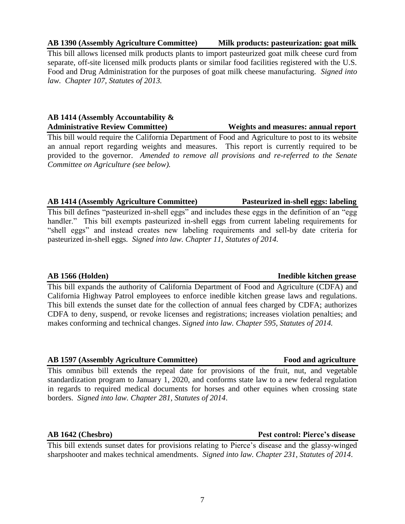### **AB 1390 (Assembly Agriculture Committee) Milk products: pasteurization: goat milk**

This bill allows licensed milk products plants to import pasteurized goat milk cheese curd from separate, off-site licensed milk products plants or similar food facilities registered with the U.S. Food and Drug Administration for the purposes of goat milk cheese manufacturing. *Signed into law. Chapter 107, Statutes of 2013.*

### **AB 1414 (Assembly Accountability & Administrative Review Committee) Weights and measures: annual report**

This bill would require the California Department of Food and Agriculture to post to its website an annual report regarding weights and measures. This report is currently required to be provided to the governor. *Amended to remove all provisions and re-referred to the Senate Committee on Agriculture (see below).*

### **AB 1414 (Assembly Agriculture Committee) Pasteurized in-shell eggs: labeling**

This bill defines "pasteurized in-shell eggs" and includes these eggs in the definition of an "egg handler." This bill exempts pasteurized in-shell eggs from current labeling requirements for "shell eggs" and instead creates new labeling requirements and sell-by date criteria for pasteurized in-shell eggs. *Signed into law. Chapter 11, Statutes of 2014.*

This bill expands the authority of California Department of Food and Agriculture (CDFA) and California Highway Patrol employees to enforce inedible kitchen grease laws and regulations. This bill extends the sunset date for the collection of annual fees charged by CDFA; authorizes CDFA to deny, suspend, or revoke licenses and registrations; increases violation penalties; and makes conforming and technical changes. *Signed into law. Chapter 595, Statutes of 2014.*

### **AB 1597 (Assembly Agriculture Committee) Food and agriculture**

This omnibus bill extends the repeal date for provisions of the fruit, nut, and vegetable standardization program to January 1, 2020, and conforms state law to a new federal regulation in regards to required medical documents for horses and other equines when crossing state borders. *Signed into law. Chapter 281, Statutes of 2014*.

### **AB 1642 (Chesbro) Pest control: Pierce's disease**

This bill extends sunset dates for provisions relating to Pierce's disease and the glassy-winged sharpshooter and makes technical amendments. *Signed into law. Chapter 231, Statutes of 2014*.

### **AB 1566 (Holden) Inedible kitchen grease**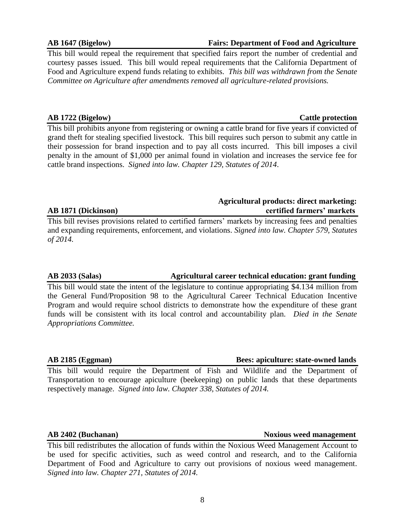**AB 2402 (Buchanan) Noxious weed management** This bill redistributes the allocation of funds within the Noxious Weed Management Account to be used for specific activities, such as weed control and research, and to the California Department of Food and Agriculture to carry out provisions of noxious weed management. *Signed into law. Chapter 271, Statutes of 2014.*

# **AB 1871 (Dickinson) certified farmers' markets**

This bill revises provisions related to certified farmers' markets by increasing fees and penalties and expanding requirements, enforcement, and violations. *Signed into law. Chapter 579, Statutes of 2014.*

### **AB 2033 (Salas) Agricultural career technical education: grant funding**

This bill would state the intent of the legislature to continue appropriating \$4.134 million from the General Fund/Proposition 98 to the Agricultural Career Technical Education Incentive Program and would require school districts to demonstrate how the expenditure of these grant funds will be consistent with its local control and accountability plan. *Died in the Senate Appropriations Committee.*

**AB 2185 (Eggman) Bees: apiculture: state-owned lands**

This bill would require the Department of Fish and Wildlife and the Department of Transportation to encourage apiculture (beekeeping) on public lands that these departments respectively manage. *Signed into law. Chapter 338, Statutes of 2014.* 

**Agricultural products: direct marketing:**

This bill would repeal the requirement that specified fairs report the number of credential and courtesy passes issued. This bill would repeal requirements that the California Department of Food and Agriculture expend funds relating to exhibits. *This bill was withdrawn from the Senate Committee on Agriculture after amendments removed all agriculture-related provisions.*

## **AB 1722 (Bigelow) Cattle protection**

This bill prohibits anyone from registering or owning a cattle brand for five years if convicted of grand theft for stealing specified livestock. This bill requires such person to submit any cattle in their possession for brand inspection and to pay all costs incurred. This bill imposes a civil penalty in the amount of \$1,000 per animal found in violation and increases the service fee for cattle brand inspections. *Signed into law. Chapter 129, Statutes of 2014*.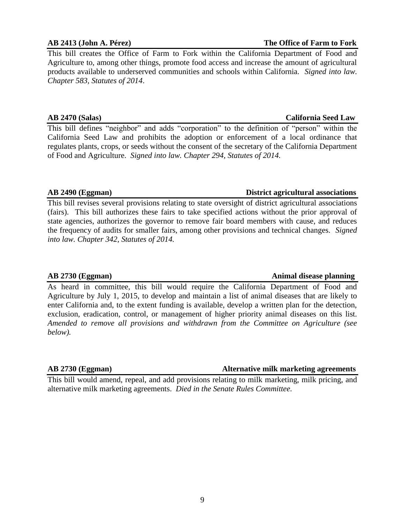# 9

This bill creates the Office of Farm to Fork within the California Department of Food and Agriculture to, among other things, promote food access and increase the amount of agricultural products available to underserved communities and schools within California. *Signed into law. Chapter 583, Statutes of 2014*.

### **AB 2470 (Salas) California Seed Law**

This bill defines "neighbor" and adds "corporation" to the definition of "person" within the California Seed Law and prohibits the adoption or enforcement of a local ordinance that regulates plants, crops, or seeds without the consent of the secretary of the California Department of Food and Agriculture. *Signed into law. Chapter 294, Statutes of 2014.* 

This bill revises several provisions relating to state oversight of district agricultural associations (fairs). This bill authorizes these fairs to take specified actions without the prior approval of state agencies, authorizes the governor to remove fair board members with cause, and reduces the frequency of audits for smaller fairs, among other provisions and technical changes. *Signed into law. Chapter 342, Statutes of 2014.* 

### **AB 2730 (Eggman) Animal disease planning**

As heard in committee, this bill would require the California Department of Food and Agriculture by July 1, 2015, to develop and maintain a list of animal diseases that are likely to enter California and, to the extent funding is available, develop a written plan for the detection, exclusion, eradication, control, or management of higher priority animal diseases on this list. *Amended to remove all provisions and withdrawn from the Committee on Agriculture (see below).*

This bill would amend, repeal, and add provisions relating to milk marketing, milk pricing, and alternative milk marketing agreements. *Died in the Senate Rules Committee.*

### **AB 2413 (John A. Pérez) The Office of Farm to Fork**

## **AB 2490 (Eggman) District agricultural associations**

### **AB 2730 (Eggman) Alternative milk marketing agreements**